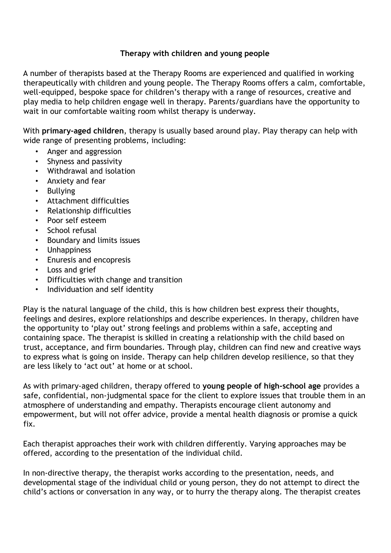## **Therapy with children and young people**

A number of therapists based at the Therapy Rooms are experienced and qualified in working therapeutically with children and young people. The Therapy Rooms offers a calm, comfortable, well-equipped, bespoke space for children's therapy with a range of resources, creative and play media to help children engage well in therapy. Parents/guardians have the opportunity to wait in our comfortable waiting room whilst therapy is underway.

With **primary-aged children**, therapy is usually based around play. Play therapy can help with wide range of presenting problems, including:

- Anger and aggression
- Shyness and passivity
- Withdrawal and isolation
- Anxiety and fear
- Bullying
- Attachment difficulties
- Relationship difficulties
- Poor self esteem
- School refusal
- Boundary and limits issues
- Unhappiness
- Enuresis and encopresis
- Loss and grief
- Difficulties with change and transition
- Individuation and self identity

Play is the natural language of the child, this is how children best express their thoughts, feelings and desires, explore relationships and describe experiences. In therapy, children have the opportunity to 'play out' strong feelings and problems within a safe, accepting and containing space. The therapist is skilled in creating a relationship with the child based on trust, acceptance, and firm boundaries. Through play, children can find new and creative ways to express what is going on inside. Therapy can help children develop resilience, so that they are less likely to 'act out' at home or at school.

As with primary-aged children, therapy offered to **young people of high-school age** provides a safe, confidential, non-judgmental space for the client to explore issues that trouble them in an atmosphere of understanding and empathy. Therapists encourage client autonomy and empowerment, but will not offer advice, provide a mental health diagnosis or promise a quick fix.

Each therapist approaches their work with children differently. Varying approaches may be offered, according to the presentation of the individual child.

In non-directive therapy, the therapist works according to the presentation, needs, and developmental stage of the individual child or young person, they do not attempt to direct the child's actions or conversation in any way, or to hurry the therapy along. The therapist creates